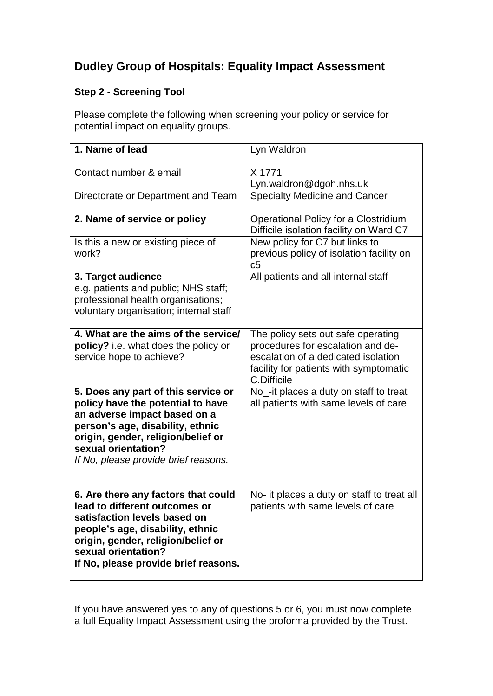## **Dudley Group of Hospitals: Equality Impact Assessment**

## **Step 2 - Screening Tool**

Please complete the following when screening your policy or service for potential impact on equality groups.

| 1. Name of lead                                                                                                                                                                                                                                   | Lyn Waldron                                                                                                                                                             |
|---------------------------------------------------------------------------------------------------------------------------------------------------------------------------------------------------------------------------------------------------|-------------------------------------------------------------------------------------------------------------------------------------------------------------------------|
| Contact number & email                                                                                                                                                                                                                            | X 1771<br>Lyn.waldron@dgoh.nhs.uk                                                                                                                                       |
| Directorate or Department and Team                                                                                                                                                                                                                | <b>Specialty Medicine and Cancer</b>                                                                                                                                    |
| 2. Name of service or policy                                                                                                                                                                                                                      | Operational Policy for a Clostridium<br>Difficile isolation facility on Ward C7                                                                                         |
| Is this a new or existing piece of<br>work?                                                                                                                                                                                                       | New policy for C7 but links to<br>previous policy of isolation facility on<br>c5                                                                                        |
| 3. Target audience<br>e.g. patients and public; NHS staff;<br>professional health organisations;<br>voluntary organisation; internal staff                                                                                                        | All patients and all internal staff                                                                                                                                     |
| 4. What are the aims of the service/<br>policy? i.e. what does the policy or<br>service hope to achieve?                                                                                                                                          | The policy sets out safe operating<br>procedures for escalation and de-<br>escalation of a dedicated isolation<br>facility for patients with symptomatic<br>C.Difficile |
| 5. Does any part of this service or<br>policy have the potential to have<br>an adverse impact based on a<br>person's age, disability, ethnic<br>origin, gender, religion/belief or<br>sexual orientation?<br>If No, please provide brief reasons. | No_-it places a duty on staff to treat<br>all patients with same levels of care                                                                                         |
| 6. Are there any factors that could<br>lead to different outcomes or<br>satisfaction levels based on<br>people's age, disability, ethnic<br>origin, gender, religion/belief or<br>sexual orientation?<br>If No, please provide brief reasons.     | No- it places a duty on staff to treat all<br>patients with same levels of care                                                                                         |

If you have answered yes to any of questions 5 or 6, you must now complete a full Equality Impact Assessment using the proforma provided by the Trust.